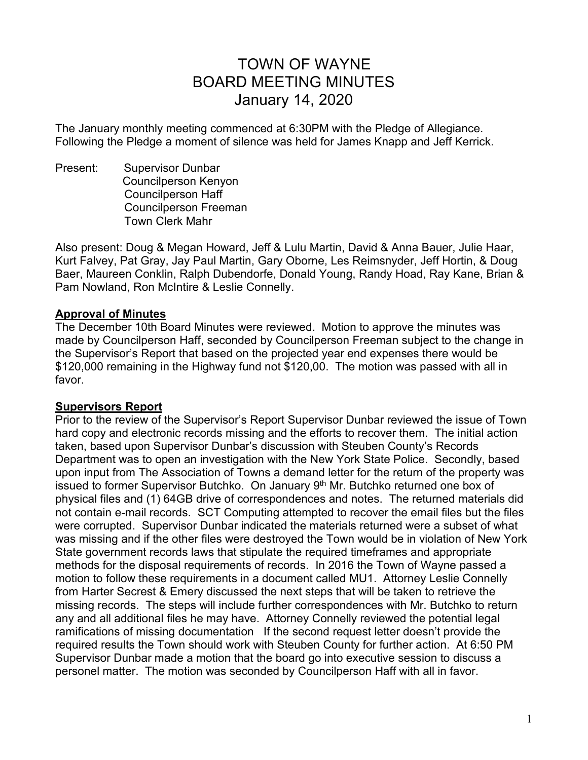# TOWN OF WAYNE BOARD MEETING MINUTES January 14, 2020

The January monthly meeting commenced at 6:30PM with the Pledge of Allegiance. Following the Pledge a moment of silence was held for James Knapp and Jeff Kerrick.

Present: Supervisor Dunbar Councilperson Kenyon Councilperson Haff Councilperson Freeman Town Clerk Mahr

Also present: Doug & Megan Howard, Jeff & Lulu Martin, David & Anna Bauer, Julie Haar, Kurt Falvey, Pat Gray, Jay Paul Martin, Gary Oborne, Les Reimsnyder, Jeff Hortin, & Doug Baer, Maureen Conklin, Ralph Dubendorfe, Donald Young, Randy Hoad, Ray Kane, Brian & Pam Nowland, Ron McIntire & Leslie Connelly.

#### **Approval of Minutes**

The December 10th Board Minutes were reviewed. Motion to approve the minutes was made by Councilperson Haff, seconded by Councilperson Freeman subject to the change in the Supervisor's Report that based on the projected year end expenses there would be \$120,000 remaining in the Highway fund not \$120,00. The motion was passed with all in favor.

#### **Supervisors Report**

Prior to the review of the Supervisor's Report Supervisor Dunbar reviewed the issue of Town hard copy and electronic records missing and the efforts to recover them. The initial action taken, based upon Supervisor Dunbar's discussion with Steuben County's Records Department was to open an investigation with the New York State Police. Secondly, based upon input from The Association of Towns a demand letter for the return of the property was issued to former Supervisor Butchko. On January 9th Mr. Butchko returned one box of physical files and (1) 64GB drive of correspondences and notes. The returned materials did not contain e-mail records. SCT Computing attempted to recover the email files but the files were corrupted. Supervisor Dunbar indicated the materials returned were a subset of what was missing and if the other files were destroyed the Town would be in violation of New York State government records laws that stipulate the required timeframes and appropriate methods for the disposal requirements of records. In 2016 the Town of Wayne passed a motion to follow these requirements in a document called MU1. Attorney Leslie Connelly from Harter Secrest & Emery discussed the next steps that will be taken to retrieve the missing records. The steps will include further correspondences with Mr. Butchko to return any and all additional files he may have. Attorney Connelly reviewed the potential legal ramifications of missing documentation If the second request letter doesn't provide the required results the Town should work with Steuben County for further action. At 6:50 PM Supervisor Dunbar made a motion that the board go into executive session to discuss a personel matter. The motion was seconded by Councilperson Haff with all in favor.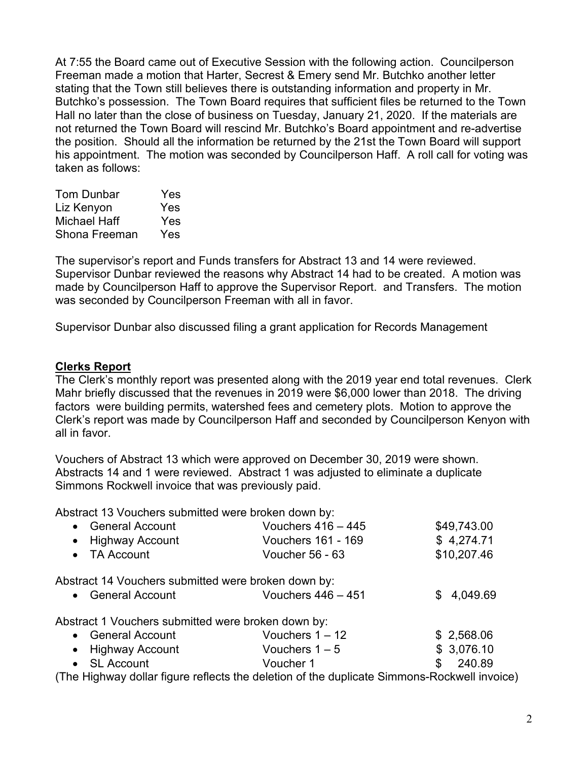At 7:55 the Board came out of Executive Session with the following action. Councilperson Freeman made a motion that Harter, Secrest & Emery send Mr. Butchko another letter stating that the Town still believes there is outstanding information and property in Mr. Butchko's possession. The Town Board requires that sufficient files be returned to the Town Hall no later than the close of business on Tuesday, January 21, 2020. If the materials are not returned the Town Board will rescind Mr. Butchko's Board appointment and re-advertise the position. Should all the information be returned by the 21st the Town Board will support his appointment. The motion was seconded by Councilperson Haff. A roll call for voting was taken as follows:

| Yes |
|-----|
| Yes |
| Yes |
| Yes |
|     |

The supervisor's report and Funds transfers for Abstract 13 and 14 were reviewed. Supervisor Dunbar reviewed the reasons why Abstract 14 had to be created. A motion was made by Councilperson Haff to approve the Supervisor Report. and Transfers. The motion was seconded by Councilperson Freeman with all in favor.

Supervisor Dunbar also discussed filing a grant application for Records Management

#### **Clerks Report**

The Clerk's monthly report was presented along with the 2019 year end total revenues. Clerk Mahr briefly discussed that the revenues in 2019 were \$6,000 lower than 2018. The driving factors were building permits, watershed fees and cemetery plots. Motion to approve the Clerk's report was made by Councilperson Haff and seconded by Councilperson Kenyon with all in favor.

Vouchers of Abstract 13 which were approved on December 30, 2019 were shown. Abstracts 14 and 1 were reviewed. Abstract 1 was adjusted to eliminate a duplicate Simmons Rockwell invoice that was previously paid.

Abstract 13 Vouchers submitted were broken down by:

| • General Account                                   | Vouchers $416 - 445$                                                                        | \$49,743.00     |
|-----------------------------------------------------|---------------------------------------------------------------------------------------------|-----------------|
| • Highway Account                                   | Vouchers 161 - 169                                                                          | \$4,274.71      |
| • TA Account                                        | <b>Voucher 56 - 63</b>                                                                      | \$10,207.46     |
| Abstract 14 Vouchers submitted were broken down by: |                                                                                             |                 |
| • General Account                                   | Vouchers $446 - 451$                                                                        | 4,049.69<br>\$. |
| Abstract 1 Vouchers submitted were broken down by:  |                                                                                             |                 |
| • General Account                                   | Vouchers $1 - 12$                                                                           | \$2,568.06      |
| • Highway Account                                   | Vouchers $1 - 5$                                                                            | \$3,076.10      |
| • SL Account                                        | Voucher 1                                                                                   | 240.89<br>\$    |
|                                                     | (The Highway dollar figure reflects the deletion of the duplicate Simmons-Rockwell invoice) |                 |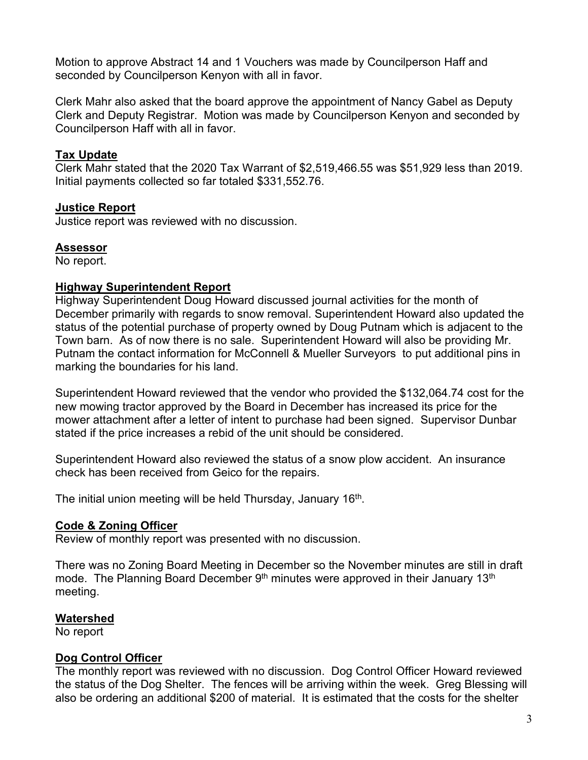Motion to approve Abstract 14 and 1 Vouchers was made by Councilperson Haff and seconded by Councilperson Kenyon with all in favor.

Clerk Mahr also asked that the board approve the appointment of Nancy Gabel as Deputy Clerk and Deputy Registrar. Motion was made by Councilperson Kenyon and seconded by Councilperson Haff with all in favor.

## **Tax Update**

Clerk Mahr stated that the 2020 Tax Warrant of \$2,519,466.55 was \$51,929 less than 2019. Initial payments collected so far totaled \$331,552.76.

## **Justice Report**

Justice report was reviewed with no discussion.

# **Assessor**

No report.

## **Highway Superintendent Report**

Highway Superintendent Doug Howard discussed journal activities for the month of December primarily with regards to snow removal. Superintendent Howard also updated the status of the potential purchase of property owned by Doug Putnam which is adjacent to the Town barn. As of now there is no sale. Superintendent Howard will also be providing Mr. Putnam the contact information for McConnell & Mueller Surveyors to put additional pins in marking the boundaries for his land.

Superintendent Howard reviewed that the vendor who provided the \$132,064.74 cost for the new mowing tractor approved by the Board in December has increased its price for the mower attachment after a letter of intent to purchase had been signed. Supervisor Dunbar stated if the price increases a rebid of the unit should be considered.

Superintendent Howard also reviewed the status of a snow plow accident. An insurance check has been received from Geico for the repairs.

The initial union meeting will be held Thursday, January 16<sup>th</sup>.

# **Code & Zoning Officer**

Review of monthly report was presented with no discussion.

There was no Zoning Board Meeting in December so the November minutes are still in draft mode. The Planning Board December 9<sup>th</sup> minutes were approved in their January 13<sup>th</sup> meeting.

# **Watershed**

No report

# **Dog Control Officer**

The monthly report was reviewed with no discussion. Dog Control Officer Howard reviewed the status of the Dog Shelter. The fences will be arriving within the week. Greg Blessing will also be ordering an additional \$200 of material. It is estimated that the costs for the shelter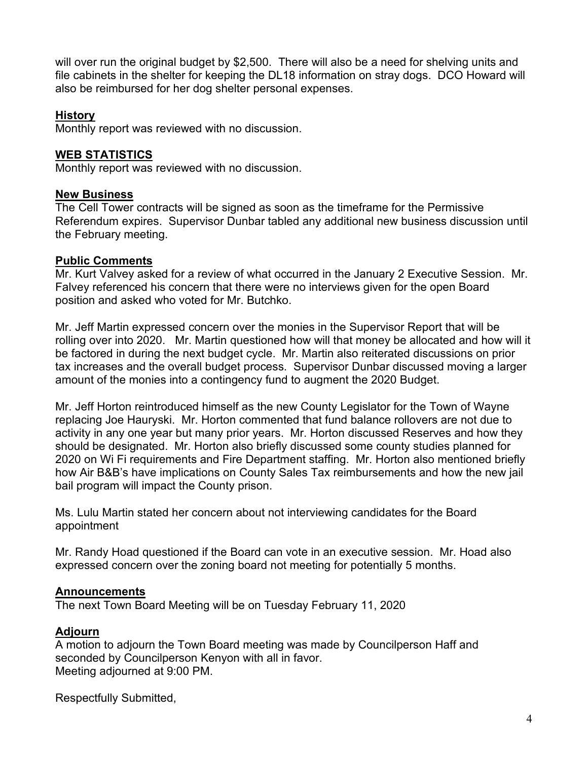will over run the original budget by \$2,500. There will also be a need for shelving units and file cabinets in the shelter for keeping the DL18 information on stray dogs. DCO Howard will also be reimbursed for her dog shelter personal expenses.

# **History**

Monthly report was reviewed with no discussion.

## **WEB STATISTICS**

Monthly report was reviewed with no discussion.

### **New Business**

The Cell Tower contracts will be signed as soon as the timeframe for the Permissive Referendum expires. Supervisor Dunbar tabled any additional new business discussion until the February meeting.

### **Public Comments**

Mr. Kurt Valvey asked for a review of what occurred in the January 2 Executive Session. Mr. Falvey referenced his concern that there were no interviews given for the open Board position and asked who voted for Mr. Butchko.

Mr. Jeff Martin expressed concern over the monies in the Supervisor Report that will be rolling over into 2020. Mr. Martin questioned how will that money be allocated and how will it be factored in during the next budget cycle. Mr. Martin also reiterated discussions on prior tax increases and the overall budget process. Supervisor Dunbar discussed moving a larger amount of the monies into a contingency fund to augment the 2020 Budget.

Mr. Jeff Horton reintroduced himself as the new County Legislator for the Town of Wayne replacing Joe Hauryski. Mr. Horton commented that fund balance rollovers are not due to activity in any one year but many prior years. Mr. Horton discussed Reserves and how they should be designated. Mr. Horton also briefly discussed some county studies planned for 2020 on Wi Fi requirements and Fire Department staffing. Mr. Horton also mentioned briefly how Air B&B's have implications on County Sales Tax reimbursements and how the new jail bail program will impact the County prison.

Ms. Lulu Martin stated her concern about not interviewing candidates for the Board appointment

Mr. Randy Hoad questioned if the Board can vote in an executive session. Mr. Hoad also expressed concern over the zoning board not meeting for potentially 5 months.

#### **Announcements**

The next Town Board Meeting will be on Tuesday February 11, 2020

## **Adjourn**

A motion to adjourn the Town Board meeting was made by Councilperson Haff and seconded by Councilperson Kenyon with all in favor. Meeting adjourned at 9:00 PM.

Respectfully Submitted,